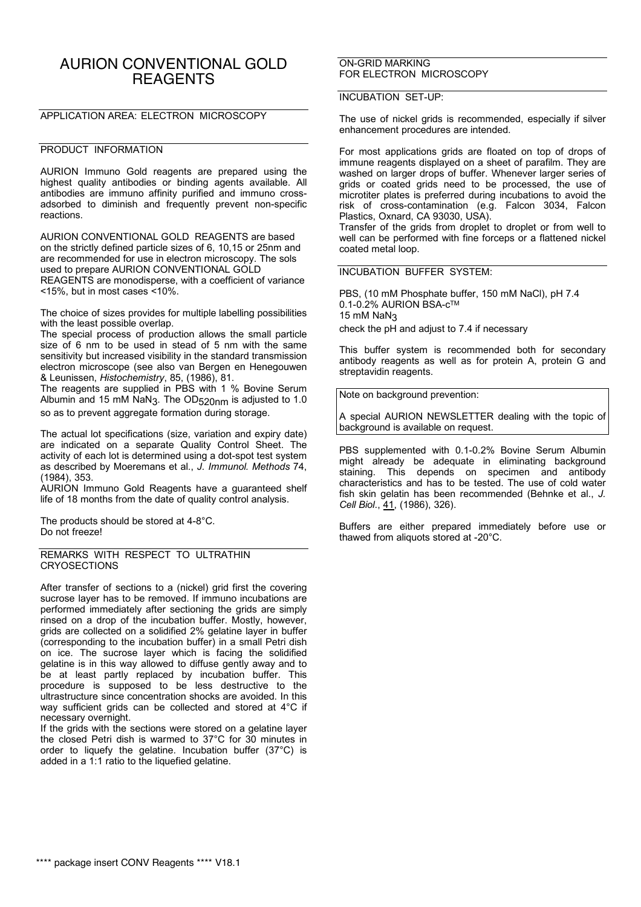# AURION CONVENTIONAL GOLD **REAGENTS**

## APPLICATION AREA: ELECTRON MICROSCOPY

### PRODUCT INFORMATION

AURION Immuno Gold reagents are prepared using the highest quality antibodies or binding agents available. All antibodies are immuno affinity purified and immuno crossadsorbed to diminish and frequently prevent non-specific reactions.

AURION CONVENTIONAL GOLD REAGENTS are based on the strictly defined particle sizes of 6, 10,15 or 25nm and are recommended for use in electron microscopy. The sols used to prepare AURION CONVENTIONAL GOLD REAGENTS are monodisperse, with a coefficient of variance <15%, but in most cases <10%.

The choice of sizes provides for multiple labelling possibilities with the least possible overlap.

The special process of production allows the small particle size of 6 nm to be used in stead of 5 nm with the same sensitivity but increased visibility in the standard transmission electron microscope (see also van Bergen en Henegouwen & Leunissen, *Histochemistry*, 85, (1986), 81.

The reagents are supplied in PBS with 1 % Bovine Serum Albumin and 15 mM NaN3. The OD520nm is adjusted to 1.0 so as to prevent aggregate formation during storage.

The actual lot specifications (size, variation and expiry date) are indicated on a separate Quality Control Sheet. The activity of each lot is determined using a dot-spot test system as described by Moeremans et al., *J. Immunol. Methods* 74, (1984), 353.

AURION Immuno Gold Reagents have a guaranteed shelf life of 18 months from the date of quality control analysis.

The products should be stored at 4-8°C. Do not freeze!

#### REMARKS WITH RESPECT TO ULTRATHIN **CRYOSECTIONS**

After transfer of sections to a (nickel) grid first the covering sucrose layer has to be removed. If immuno incubations are performed immediately after sectioning the grids are simply rinsed on a drop of the incubation buffer. Mostly, however, grids are collected on a solidified 2% gelatine layer in buffer (corresponding to the incubation buffer) in a small Petri dish on ice. The sucrose layer which is facing the solidified gelatine is in this way allowed to diffuse gently away and to be at least partly replaced by incubation buffer. This procedure is supposed to be less destructive to the ultrastructure since concentration shocks are avoided. In this way sufficient grids can be collected and stored at 4°C if necessary overnight.

If the grids with the sections were stored on a gelatine layer the closed Petri dish is warmed to 37°C for 30 minutes in order to liquefy the gelatine. Incubation buffer (37°C) is added in a 1:1 ratio to the liquefied gelatine.

#### ON-GRID MARKING FOR ELECTRON MICROSCOPY

## INCUBATION SET-UP:

The use of nickel grids is recommended, especially if silver enhancement procedures are intended.

For most applications grids are floated on top of drops of immune reagents displayed on a sheet of parafilm. They are washed on larger drops of buffer. Whenever larger series of grids or coated grids need to be processed, the use of microtiter plates is preferred during incubations to avoid the risk of cross-contamination (e.g. Falcon 3034, Falcon Plastics, Oxnard, CA 93030, USA).

Transfer of the grids from droplet to droplet or from well to well can be performed with fine forceps or a flattened nickel coated metal loop.

INCUBATION BUFFER SYSTEM:

PBS, (10 mM Phosphate buffer, 150 mM NaCl), pH 7.4 0.1-0.2% AURION BSA-c™ 15 mM NaN3 check the pH and adjust to 7.4 if necessary

This buffer system is recommended both for secondary antibody reagents as well as for protein A, protein G and streptavidin reagents.

Note on background prevention:

A special AURION NEWSLETTER dealing with the topic of background is available on request.

PBS supplemented with 0.1-0.2% Bovine Serum Albumin might already be adequate in eliminating background staining. This depends on specimen and antibody characteristics and has to be tested. The use of cold water fish skin gelatin has been recommended (Behnke et al., *J. Cell Biol*., 41, (1986), 326).

Buffers are either prepared immediately before use or thawed from aliquots stored at -20°C.